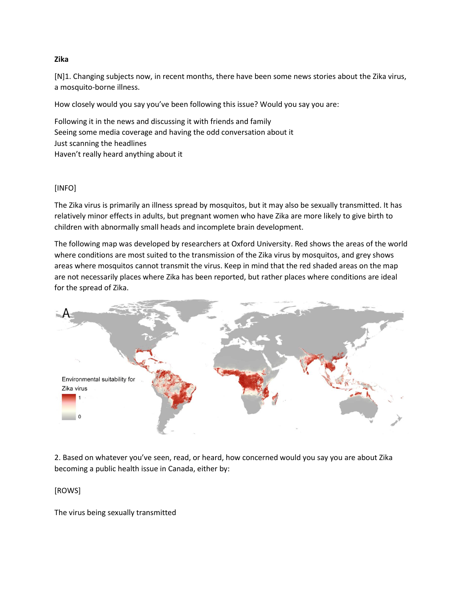## **Zika**

[N]1. Changing subjects now, in recent months, there have been some news stories about the Zika virus, a mosquito-borne illness.

How closely would you say you've been following this issue? Would you say you are:

Following it in the news and discussing it with friends and family Seeing some media coverage and having the odd conversation about it Just scanning the headlines Haven't really heard anything about it

## [INFO]

The Zika virus is primarily an illness spread by mosquitos, but it may also be sexually transmitted. It has relatively minor effects in adults, but pregnant women who have Zika are more likely to give birth to children with abnormally small heads and incomplete brain development.

The following map was developed by researchers at Oxford University. Red shows the areas of the world where conditions are most suited to the transmission of the Zika virus by mosquitos, and grey shows areas where mosquitos cannot transmit the virus. Keep in mind that the red shaded areas on the map are not necessarily places where Zika has been reported, but rather places where conditions are ideal for the spread of Zika.



2. Based on whatever you've seen, read, or heard, how concerned would you say you are about Zika becoming a public health issue in Canada, either by:

[ROWS]

The virus being sexually transmitted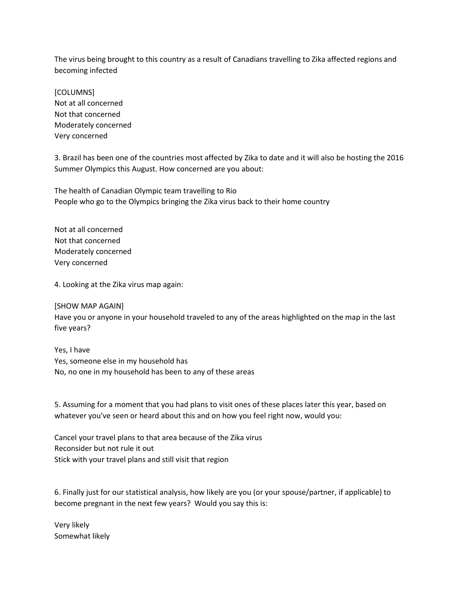The virus being brought to this country as a result of Canadians travelling to Zika affected regions and becoming infected

[COLUMNS] Not at all concerned Not that concerned Moderately concerned Very concerned

3. Brazil has been one of the countries most affected by Zika to date and it will also be hosting the 2016 Summer Olympics this August. How concerned are you about:

The health of Canadian Olympic team travelling to Rio People who go to the Olympics bringing the Zika virus back to their home country

Not at all concerned Not that concerned Moderately concerned Very concerned

4. Looking at the Zika virus map again:

[SHOW MAP AGAIN] Have you or anyone in your household traveled to any of the areas highlighted on the map in the last five years?

Yes, I have Yes, someone else in my household has No, no one in my household has been to any of these areas

5. Assuming for a moment that you had plans to visit ones of these places later this year, based on whatever you've seen or heard about this and on how you feel right now, would you:

Cancel your travel plans to that area because of the Zika virus Reconsider but not rule it out Stick with your travel plans and still visit that region

6. Finally just for our statistical analysis, how likely are you (or your spouse/partner, if applicable) to become pregnant in the next few years? Would you say this is:

Very likely Somewhat likely